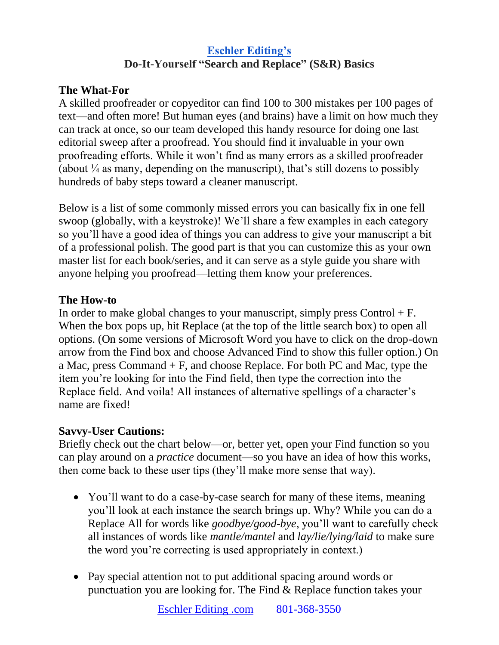# **[Eschler Editing's](http://www.eschlerediting.com/) Do-It-Yourself "Search and Replace" (S&R) Basics**

## **The What-For**

A skilled proofreader or copyeditor can find 100 to 300 mistakes per 100 pages of text—and often more! But human eyes (and brains) have a limit on how much they can track at once, so our team developed this handy resource for doing one last editorial sweep after a proofread. You should find it invaluable in your own proofreading efforts. While it won't find as many errors as a skilled proofreader (about  $\frac{1}{4}$  as many, depending on the manuscript), that's still dozens to possibly hundreds of baby steps toward a cleaner manuscript.

Below is a list of some commonly missed errors you can basically fix in one fell swoop (globally, with a keystroke)! We'll share a few examples in each category so you'll have a good idea of things you can address to give your manuscript a bit of a professional polish. The good part is that you can customize this as your own master list for each book/series, and it can serve as a style guide you share with anyone helping you proofread—letting them know your preferences.

### **The How-to**

In order to make global changes to your manuscript, simply press Control  $+ F$ . When the box pops up, hit Replace (at the top of the little search box) to open all options. (On some versions of Microsoft Word you have to click on the drop-down arrow from the Find box and choose Advanced Find to show this fuller option.) On a Mac, press Command + F, and choose Replace. For both PC and Mac, type the item you're looking for into the Find field, then type the correction into the Replace field. And voila! All instances of alternative spellings of a character's name are fixed!

### **Savvy-User Cautions:**

Briefly check out the chart below—or, better yet, open your Find function so you can play around on a *practice* document—so you have an idea of how this works, then come back to these user tips (they'll make more sense that way).

- You'll want to do a case-by-case search for many of these items, meaning you'll look at each instance the search brings up. Why? While you can do a Replace All for words like *goodbye/good-bye*, you'll want to carefully check all instances of words like *mantle/mantel* and *lay/lie/lying/laid* to make sure the word you're correcting is used appropriately in context.)
- Pay special attention not to put additional spacing around words or punctuation you are looking for. The Find & Replace function takes your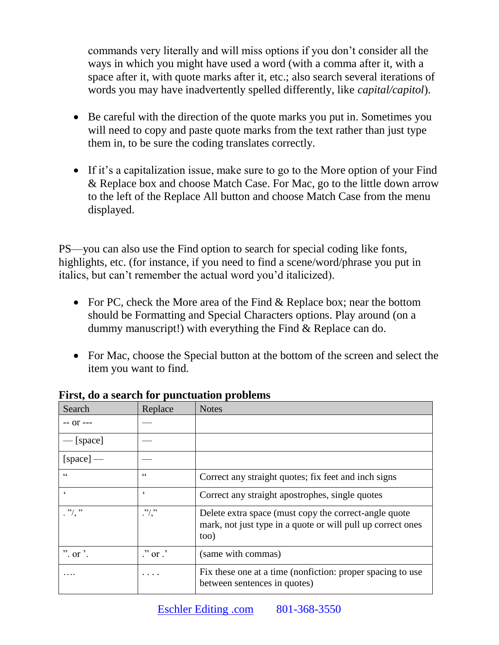commands very literally and will miss options if you don't consider all the ways in which you might have used a word (with a comma after it, with a space after it, with quote marks after it, etc.; also search several iterations of words you may have inadvertently spelled differently, like *capital/capitol*).

- Be careful with the direction of the quote marks you put in. Sometimes you will need to copy and paste quote marks from the text rather than just type them in, to be sure the coding translates correctly.
- If it's a capitalization issue, make sure to go to the More option of your Find & Replace box and choose Match Case. For Mac, go to the little down arrow to the left of the Replace All button and choose Match Case from the menu displayed.

PS—you can also use the Find option to search for special coding like fonts, highlights, etc. (for instance, if you need to find a scene/word/phrase you put in italics, but can't remember the actual word you'd italicized).

- For PC, check the More area of the Find & Replace box; near the bottom should be Formatting and Special Characters options. Play around (on a dummy manuscript!) with everything the Find & Replace can do.
- For Mac, choose the Special button at the bottom of the screen and select the item you want to find.

| Search                   | Replace                      | <b>Notes</b>                                                                                                                 |
|--------------------------|------------------------------|------------------------------------------------------------------------------------------------------------------------------|
| $- -$ Of $- -$           |                              |                                                                                                                              |
| [space]                  |                              |                                                                                                                              |
| $[space]$ —              |                              |                                                                                                                              |
| C                        | $\epsilon$                   | Correct any straight quotes; fix feet and inch signs                                                                         |
| $\boldsymbol{\varsigma}$ | $\epsilon$                   | Correct any straight apostrophes, single quotes                                                                              |
| $\cdot$ "/, "            | $\cdot$ "/,"                 | Delete extra space (must copy the correct-angle quote<br>mark, not just type in a quote or will pull up correct ones<br>too) |
| $"$ . or $"$ .           | $\therefore$ or $\therefore$ | (same with commas)                                                                                                           |
|                          | .                            | Fix these one at a time (nonfiction: proper spacing to use<br>between sentences in quotes)                                   |

**First, do a search for punctuation problems**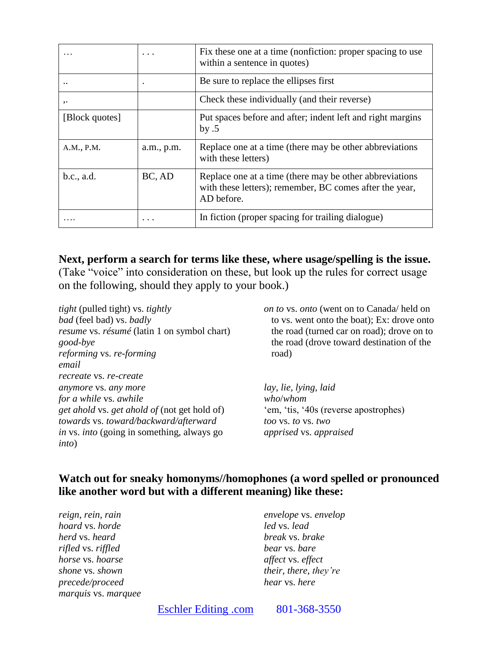|                      |            | Fix these one at a time (nonfiction: proper spacing to use<br>within a sentence in quotes)                                       |
|----------------------|------------|----------------------------------------------------------------------------------------------------------------------------------|
| $\ddot{\phantom{0}}$ |            | Be sure to replace the ellipses first                                                                                            |
| $, \cdot$            |            | Check these individually (and their reverse)                                                                                     |
| [Block quotes]       |            | Put spaces before and after; indent left and right margins<br>by $.5$                                                            |
| A.M., P.M.           | a.m., p.m. | Replace one at a time (there may be other abbreviations)<br>with these letters)                                                  |
| b.c., a.d.           | BC, AD     | Replace one at a time (there may be other abbreviations<br>with these letters); remember, BC comes after the year,<br>AD before. |
|                      |            | In fiction (proper spacing for trailing dialogue)                                                                                |

**Next, perform a search for terms like these, where usage/spelling is the issue.**  (Take "voice" into consideration on these, but look up the rules for correct usage on the following, should they apply to your book.)

*tight* (pulled tight) vs. *tightly bad* (feel bad) vs. *badly resume* vs. *résumé* (latin 1 on symbol chart) *good-bye reforming* vs. *re-forming email recreate* vs. *re-create anymore* vs. *any more for a while* vs. *awhile get ahold* vs. *get ahold of* (not get hold of) *towards* vs. *toward/backward/afterward in* vs. *into* (going in something, always go *into*)

*on to* vs. *onto* (went on to Canada/ held on to vs. went onto the boat); Ex: drove onto the road (turned car on road); drove on to the road (drove toward destination of the road)

*lay*, *lie, lying*, *laid who*/*whom* 'em, 'tis, '40s (reverse apostrophes) *too* vs. *to* vs. *two apprised* vs. *appraised*

### **Watch out for sneaky homonyms//homophones (a word spelled or pronounced like another word but with a different meaning) like these:**

*reign*, *rein*, *rain hoard* vs. *horde herd* vs. *heard rifled* vs. *riffled horse* vs. *hoarse shone* vs. *shown precede/proceed marquis* vs. *marquee*

*envelope* vs. *envelop led* vs. *lead break* vs. *brake bear* vs. *bare affect* vs. *effect their*, *there*, *they're hear* vs. *here*